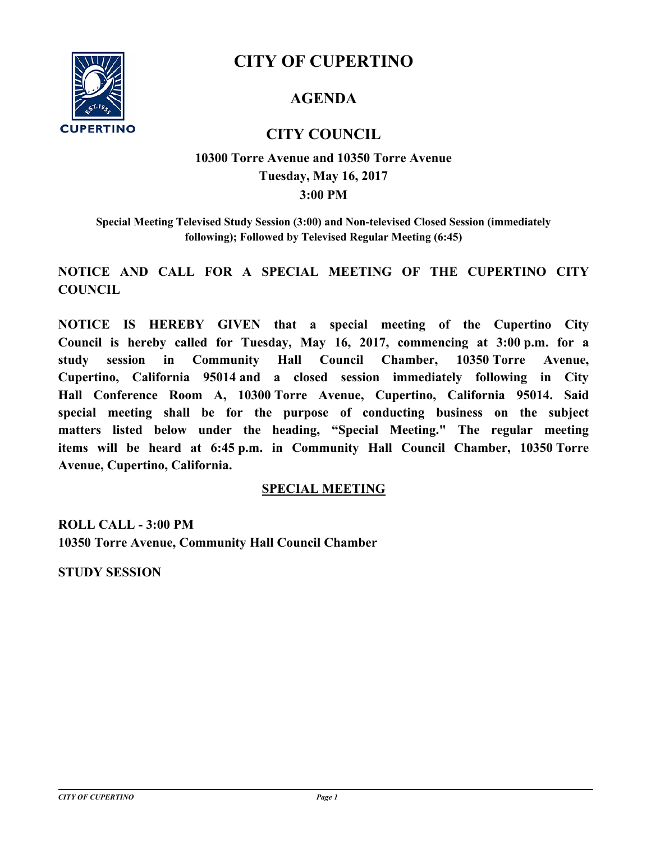

# **CITY OF CUPERTINO**

## **AGENDA**

## **CITY COUNCIL**

## **3:00 PM 10300 Torre Avenue and 10350 Torre Avenue Tuesday, May 16, 2017**

**Special Meeting Televised Study Session (3:00) and Non-televised Closed Session (immediately following); Followed by Televised Regular Meeting (6:45)**

**NOTICE AND CALL FOR A SPECIAL MEETING OF THE CUPERTINO CITY COUNCIL**

**NOTICE IS HEREBY GIVEN that a special meeting of the Cupertino City Council is hereby called for Tuesday, May 16, 2017, commencing at 3:00 p.m. for a study session in Community Hall Council Chamber, 10350 Torre Avenue, Cupertino, California 95014 and a closed session immediately following in City Hall Conference Room A, 10300 Torre Avenue, Cupertino, California 95014. Said special meeting shall be for the purpose of conducting business on the subject matters listed below under the heading, "Special Meeting." The regular meeting items will be heard at 6:45 p.m. in Community Hall Council Chamber, 10350 Torre Avenue, Cupertino, California.**

#### **SPECIAL MEETING**

**ROLL CALL - 3:00 PM 10350 Torre Avenue, Community Hall Council Chamber**

**STUDY SESSION**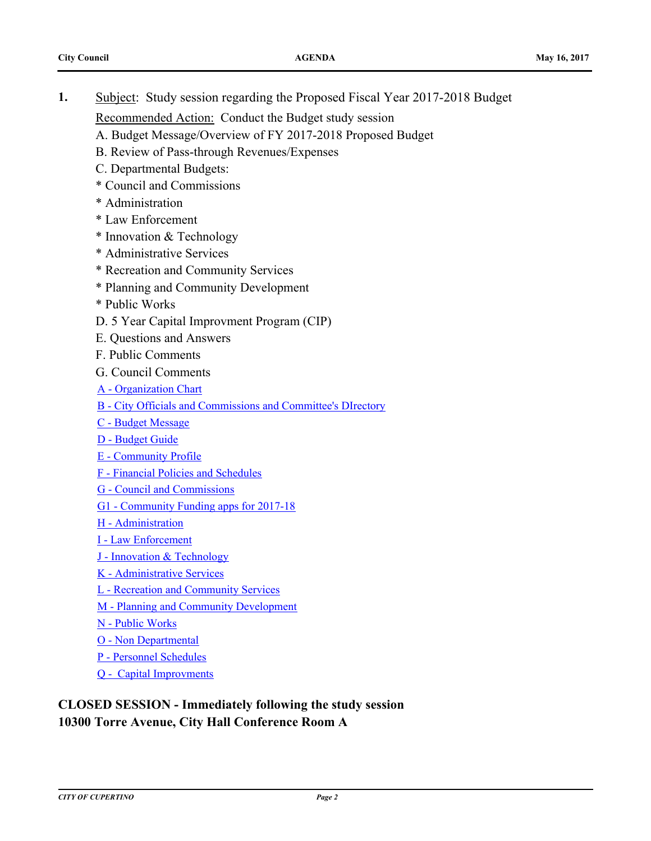**1.** [Subject: Study session regarding the Proposed Fiscal Year 2017-2018 Budget](http://cupertino.legistar.com/gateway.aspx?m=l&id=3594)

Recommended Action:Conduct the Budget study session

- A. Budget Message/Overview of FY 2017-2018 Proposed Budget
- B. Review of Pass-through Revenues/Expenses
- C. Departmental Budgets:
- \* Council and Commissions
- \* Administration
- \* Law Enforcement
- \* Innovation & Technology
- \* Administrative Services
- \* Recreation and Community Services
- \* Planning and Community Development
- \* Public Works
- D. 5 Year Capital Improvment Program (CIP)
- E. Questions and Answers
- F. Public Comments
- G. Council Comments
- [A Organization Chart](http://cupertino.legistar.com/gateway.aspx?M=F&ID=debecaa4-a4d7-43fe-828e-0cde0366e2ee.pdf)
- [B City Officials and Commissions and Committee's DIrectory](http://cupertino.legistar.com/gateway.aspx?M=F&ID=8f116fa8-dd8a-4362-8751-f0313b9bb1ef.pdf)
- [C Budget Message](http://cupertino.legistar.com/gateway.aspx?M=F&ID=eda9ba4a-654a-40e6-8287-ebe6908494e9.pdf)
- [D Budget Guide](http://cupertino.legistar.com/gateway.aspx?M=F&ID=26cef2ae-085d-439a-a13a-794a41016b3f.pdf)
- [E Community Profile](http://cupertino.legistar.com/gateway.aspx?M=F&ID=d90f2ea2-f924-40de-a41f-aa1208288322.pdf)
- [F Financial Policies and Schedules](http://cupertino.legistar.com/gateway.aspx?M=F&ID=09ff7e95-2ee6-4a10-8a68-d6a010e28317.pdf)
- [G Council and Commissions](http://cupertino.legistar.com/gateway.aspx?M=F&ID=212a6ecc-bef8-4aa1-a893-23aea1f9ed7a.pdf)
- [G1 Community Funding apps for 2017-18](http://cupertino.legistar.com/gateway.aspx?M=F&ID=f1baabef-b59f-42dd-8382-98e925896f6c.pdf)
- [H Administration](http://cupertino.legistar.com/gateway.aspx?M=F&ID=9b850f9f-ecc0-4b58-ba41-fb77393bbc22.pdf)
- [I Law Enforcement](http://cupertino.legistar.com/gateway.aspx?M=F&ID=2f0ccf70-c542-4337-8b69-43bc246921a6.pdf)
- [J Innovation & Technology](http://cupertino.legistar.com/gateway.aspx?M=F&ID=2123f87d-0081-4a0e-993a-7bd2810b17f6.pdf)
- [K Administrative Services](http://cupertino.legistar.com/gateway.aspx?M=F&ID=6c18e5fe-edfe-432e-8d7f-68baa31d904b.pdf)
- [L Recreation and Community Services](http://cupertino.legistar.com/gateway.aspx?M=F&ID=716a989c-6426-481e-9f7b-514ec08ff75c.pdf)
- [M Planning and Community Development](http://cupertino.legistar.com/gateway.aspx?M=F&ID=b9675806-92ec-4f42-8183-38fc2e04dde5.pdf)
- [N Public Works](http://cupertino.legistar.com/gateway.aspx?M=F&ID=9adb427c-ecfd-4dd2-8d6f-53eea01db0b9.pdf)
- [O Non Departmental](http://cupertino.legistar.com/gateway.aspx?M=F&ID=8d457b3c-9617-4c68-9bfc-643a02076b53.pdf)
- [P Personnel Schedules](http://cupertino.legistar.com/gateway.aspx?M=F&ID=62c48c7b-1cdd-428c-b572-a77c89462dc7.pdf)
- [Q Capital Improvments](http://cupertino.legistar.com/gateway.aspx?M=F&ID=1146c551-f35f-4d86-9487-05c833c55cb8.pdf)

### **CLOSED SESSION - Immediately following the study session 10300 Torre Avenue, City Hall Conference Room A**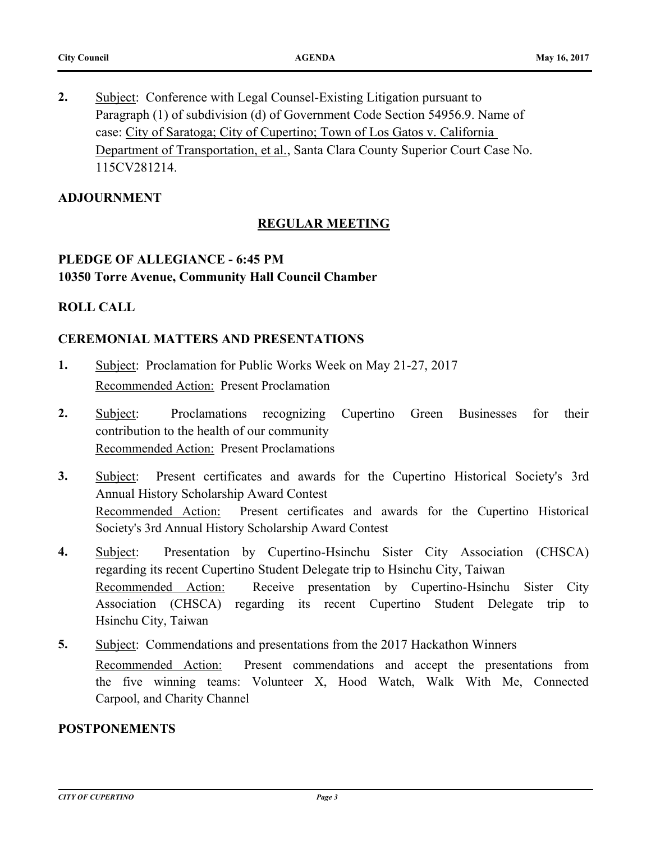**2.** Subject: Conference with Legal Counsel-Existing Litigation pursuant to Paragraph (1) of subdivision (d) of Government Code Section 54956.9. Name of case: City of Saratoga; City of Cupertino; Town of Los Gatos v. California [Department of Transportation, et al., Santa Clara County Superior Court Case No.](http://cupertino.legistar.com/gateway.aspx?m=l&id=3818)  115CV281214.

#### **ADJOURNMENT**

#### **REGULAR MEETING**

### **PLEDGE OF ALLEGIANCE - 6:45 PM 10350 Torre Avenue, Community Hall Council Chamber**

#### **ROLL CALL**

#### **CEREMONIAL MATTERS AND PRESENTATIONS**

- **1.** [Subject: Proclamation for Public Works Week on May 21-27, 2017](http://cupertino.legistar.com/gateway.aspx?m=l&id=3726) Recommended Action:Present Proclamation
- **2.** [Subject: Proclamations recognizing Cupertino Green Businesses for their](http://cupertino.legistar.com/gateway.aspx?m=l&id=3737)  contribution to the health of our community Recommended Action:Present Proclamations
- **3.** [Subject: Present certificates and awards for the Cupertino Historical Society's 3rd](http://cupertino.legistar.com/gateway.aspx?m=l&id=3777) Annual History Scholarship Award Contest Recommended Action:Present certificates and awards for the Cupertino Historical Society's 3rd Annual History Scholarship Award Contest
- **4.** [Subject: Presentation by Cupertino-Hsinchu Sister City Association \(CHSCA\)](http://cupertino.legistar.com/gateway.aspx?m=l&id=3807) regarding its recent Cupertino Student Delegate trip to Hsinchu City, Taiwan Recommended Action:Receive presentation by Cupertino-Hsinchu Sister City Association (CHSCA) regarding its recent Cupertino Student Delegate trip to Hsinchu City, Taiwan
- **5.** [Subject: Commendations and presentations from the 2017 Hackathon Winners](http://cupertino.legistar.com/gateway.aspx?m=l&id=3816) Recommended Action:Present commendations and accept the presentations from the five winning teams: Volunteer X, Hood Watch, Walk With Me, Connected Carpool, and Charity Channel

#### **POSTPONEMENTS**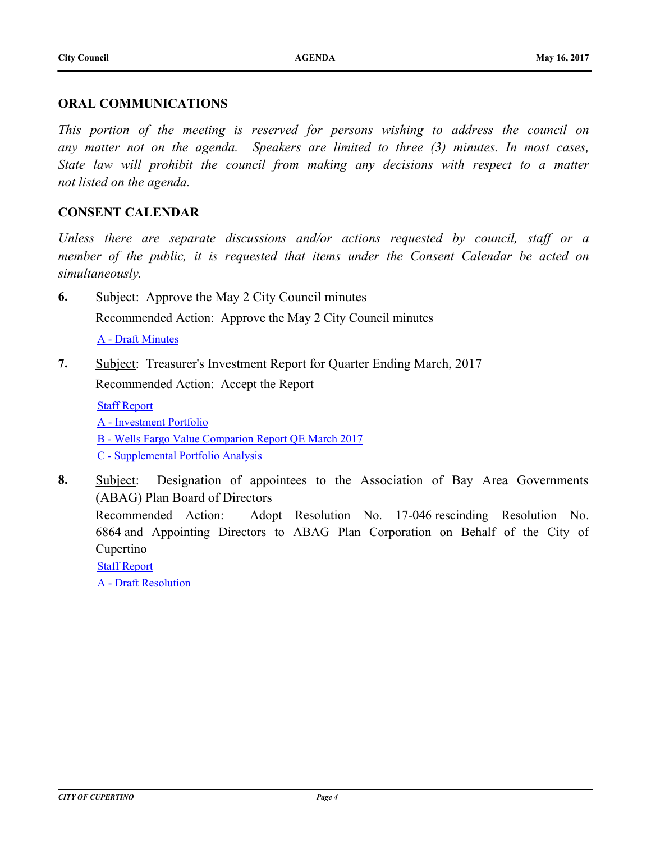#### **ORAL COMMUNICATIONS**

*This portion of the meeting is reserved for persons wishing to address the council on any matter not on the agenda. Speakers are limited to three (3) minutes. In most cases, State law will prohibit the council from making any decisions with respect to a matter not listed on the agenda.*

#### **CONSENT CALENDAR**

*Unless there are separate discussions and/or actions requested by council, staff or a member of the public, it is requested that items under the Consent Calendar be acted on simultaneously.*

**6.** [Subject: Approve the May 2 City Council minutes](http://cupertino.legistar.com/gateway.aspx?m=l&id=3271)

Recommended Action:Approve the May 2 City Council minutes

[A - Draft Minutes](http://cupertino.legistar.com/gateway.aspx?M=F&ID=ad4ec167-9340-4b21-8e5c-fb1346c3c205.docx)

**7.** [Subject: Treasurer's Investment Report for Quarter Ending March, 2017](http://cupertino.legistar.com/gateway.aspx?m=l&id=3791)

Recommended Action:Accept the Report

[Staff Report](http://cupertino.legistar.com/gateway.aspx?M=F&ID=0a9306f7-decc-4233-a2e0-6d8361a62f7c.pdf) [A - Investment Portfolio](http://cupertino.legistar.com/gateway.aspx?M=F&ID=d8015d61-4d13-40a3-9907-e32d2e9a9f29.pdf) [B - Wells Fargo Value Comparion Report QE March 2017](http://cupertino.legistar.com/gateway.aspx?M=F&ID=feee8aee-8033-4680-8563-1f5816d8bb18.pdf) [C - Supplemental Portfolio Analysis](http://cupertino.legistar.com/gateway.aspx?M=F&ID=016d0813-a81f-46d4-82e0-d5eded8b8ffa.pdf)

**8.** [Subject: Designation of appointees to the Association of Bay Area Governments](http://cupertino.legistar.com/gateway.aspx?m=l&id=3058)  (ABAG) Plan Board of Directors Recommended Action:Adopt Resolution No. 17-046 rescinding Resolution No. 6864 and Appointing Directors to ABAG Plan Corporation on Behalf of the City of Cupertino [Staff Report](http://cupertino.legistar.com/gateway.aspx?M=F&ID=d4bfdab7-55bb-4e90-9495-648d774547b5.docx)

[A - Draft Resolution](http://cupertino.legistar.com/gateway.aspx?M=F&ID=a34a3a3e-75f0-4b05-9903-32b12611551d.doc)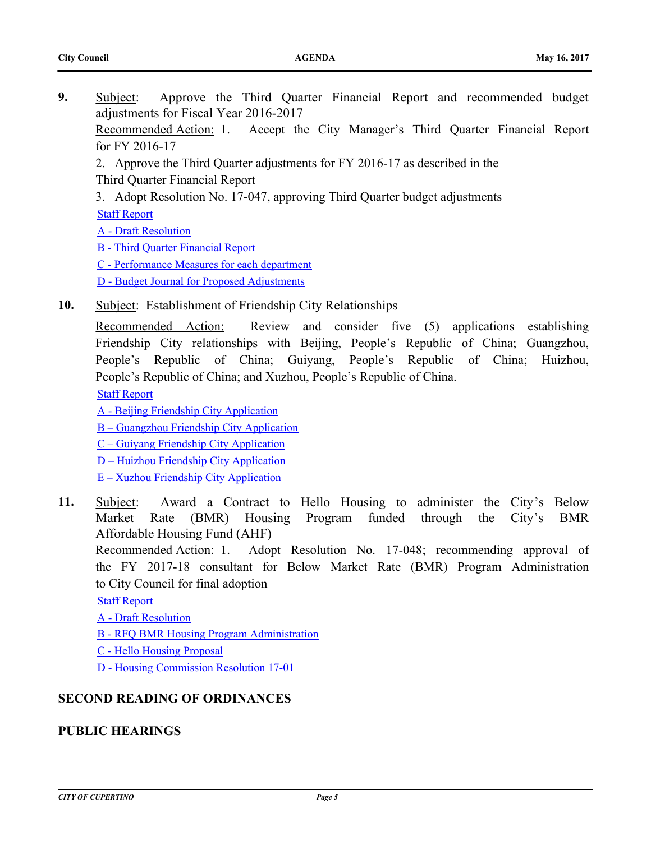**9.** [Subject: Approve the Third Quarter Financial Report and recommended budget](http://cupertino.legistar.com/gateway.aspx?m=l&id=3536)  adjustments for Fiscal Year 2016-2017 Recommended Action:1. Accept the City Manager's Third Quarter Financial Report

for FY 2016-17

- 2. Approve the Third Quarter adjustments for FY 2016-17 as described in the Third Quarter Financial Report
- 3. Adopt Resolution No. 17-047, approving Third Quarter budget adjustments [Staff Report](http://cupertino.legistar.com/gateway.aspx?M=F&ID=26edab31-0b83-46df-b38c-9a8307245faa.doc)

[A - Draft Resolution](http://cupertino.legistar.com/gateway.aspx?M=F&ID=c831137e-da95-4a6f-897a-368100f271d1.docx)

[B - Third Quarter Financial Report](http://cupertino.legistar.com/gateway.aspx?M=F&ID=965caf07-6677-4d14-a5a9-ffa1eb1067a3.docx)

[C - Performance Measures for each department](http://cupertino.legistar.com/gateway.aspx?M=F&ID=79262f4c-ab1e-4ea6-a781-71229ef8f104.pdf)

[D - Budget Journal for Proposed Adjustments](http://cupertino.legistar.com/gateway.aspx?M=F&ID=03c8a756-e687-4f70-8e6a-f6001d9a33a9.pdf)

**10.** [Subject: Establishment of Friendship City Relationships](http://cupertino.legistar.com/gateway.aspx?m=l&id=3855)

Recommended Action:Review and consider five (5) applications establishing Friendship City relationships with Beijing, People's Republic of China; Guangzhou, People's Republic of China; Guiyang, People's Republic of China; Huizhou, People's Republic of China; and Xuzhou, People's Republic of China.

[Staff Report](http://cupertino.legistar.com/gateway.aspx?M=F&ID=e8c07ca9-132e-488d-b827-9b45164cb52e.docx)

[A - Beijing Friendship City Application](http://cupertino.legistar.com/gateway.aspx?M=F&ID=495a4888-c429-4247-8ae8-0060bd630c84.pdf)

[B – Guangzhou Friendship City Application](http://cupertino.legistar.com/gateway.aspx?M=F&ID=6468c70d-f98c-4ad2-93d5-90f09e97aac8.docx)

[C – Guiyang Friendship City Application](http://cupertino.legistar.com/gateway.aspx?M=F&ID=af82fbef-7e13-4dfe-aa96-c8a80f80bf35.docx)

[D – Huizhou Friendship City Application](http://cupertino.legistar.com/gateway.aspx?M=F&ID=b393dc60-0abc-48f8-ba22-eb4dcd70f998.docx)

- [E Xuzhou Friendship City Application](http://cupertino.legistar.com/gateway.aspx?M=F&ID=27ab3b6e-07bf-402c-aa80-b0ef70b4b977.docx)
- **11.** [Subject: Award a Contract to Hello Housing to administer the City's Below](http://cupertino.legistar.com/gateway.aspx?m=l&id=3773) Market Rate (BMR) Housing Program funded through the City's BMR Affordable Housing Fund (AHF)

Recommended Action:1. Adopt Resolution No. 17-048; recommending approval of the FY 2017-18 consultant for Below Market Rate (BMR) Program Administration to City Council for final adoption

[Staff Report](http://cupertino.legistar.com/gateway.aspx?M=F&ID=a9befe60-4db6-45d2-8ba0-e446b3ce4240.doc)

- [A Draft Resolution](http://cupertino.legistar.com/gateway.aspx?M=F&ID=6531f7f2-68ea-4f8d-87ea-693c5bb17984.doc)
- [B RFQ BMR Housing Program Administration](http://cupertino.legistar.com/gateway.aspx?M=F&ID=5413bc78-79f6-4ae5-b2d9-f6ea8d3fb6fd.pdf)
- [C Hello Housing Proposal](http://cupertino.legistar.com/gateway.aspx?M=F&ID=42c90c4d-0f32-45dd-837c-c59b25ec0cdd.pdf)

[D - Housing Commission Resolution 17-01](http://cupertino.legistar.com/gateway.aspx?M=F&ID=563ae11e-3b49-4fa3-b1ce-98c0f0bd01a6.doc)

### **SECOND READING OF ORDINANCES**

## **PUBLIC HEARINGS**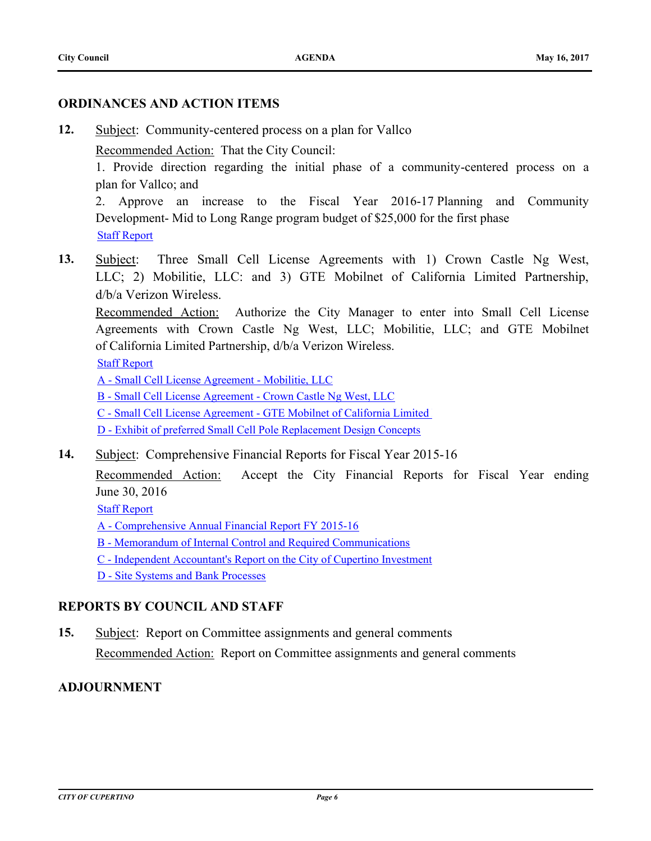#### **ORDINANCES AND ACTION ITEMS**

**12.** [Subject: Community-centered process on a plan for Vallco](http://cupertino.legistar.com/gateway.aspx?m=l&id=3811)

Recommended Action:That the City Council:

1. Provide direction regarding the initial phase of a community-centered process on a plan for Vallco; and

2. Approve an increase to the Fiscal Year 2016-17 Planning and Community Development- Mid to Long Range program budget of \$25,000 for the first phase [Staff Report](http://cupertino.legistar.com/gateway.aspx?M=F&ID=d8290385-0bd5-438b-949a-cddd3d0987a3.docx)

**13.** [Subject: Three Small Cell License Agreements with 1\) Crown Castle Ng West,](http://cupertino.legistar.com/gateway.aspx?m=l&id=3724) LLC; 2) Mobilitie, LLC: and 3) GTE Mobilnet of California Limited Partnership, d/b/a Verizon Wireless.

Recommended Action:Authorize the City Manager to enter into Small Cell License Agreements with Crown Castle Ng West, LLC; Mobilitie, LLC; and GTE Mobilnet of California Limited Partnership, d/b/a Verizon Wireless.

[Staff Report](http://cupertino.legistar.com/gateway.aspx?M=F&ID=85e31645-8eff-42ae-a1be-5e763b332cc3.doc)

[A - Small Cell License Agreement - Mobilitie, LLC](http://cupertino.legistar.com/gateway.aspx?M=F&ID=4c83bb7c-bf33-481d-b360-a0cff78383ba.pdf)

[B - Small Cell License Agreement - Crown Castle Ng West, LLC](http://cupertino.legistar.com/gateway.aspx?M=F&ID=fa5b5c5c-1b55-4cad-abe8-6c824e21f601.pdf)

C - Small Cell License Agreement - GTE Mobilnet of California Limited

[D - Exhibit of preferred Small Cell Pole Replacement Design Concepts](http://cupertino.legistar.com/gateway.aspx?M=F&ID=9acd6182-fcfc-4903-8459-befc9be0dc17.pdf)

**14.** [Subject: Comprehensive Financial Reports for Fiscal Year 2015-16](http://cupertino.legistar.com/gateway.aspx?m=l&id=3621)

Recommended Action:Accept the City Financial Reports for Fiscal Year ending June 30, 2016

[Staff Report](http://cupertino.legistar.com/gateway.aspx?M=F&ID=6a23377a-05b6-4159-b000-bc30899936db.docx)

- [A Comprehensive Annual Financial Report FY 2015-16](http://cupertino.legistar.com/gateway.aspx?M=F&ID=7079d211-d85b-4464-9e45-a6f39386a234.pdf)
- [B Memorandum of Internal Control and Required Communications](http://cupertino.legistar.com/gateway.aspx?M=F&ID=fc61b277-9139-4ba4-bad4-fac943d2c57c.pdf)
- [C Independent Accountant's Report on the City of Cupertino Investment](http://cupertino.legistar.com/gateway.aspx?M=F&ID=1e74ee7e-00b3-4668-b50d-814bd2c74050.pdf)
- [D Site Systems and Bank Processes](http://cupertino.legistar.com/gateway.aspx?M=F&ID=67b28d82-b4db-403c-b0c9-417c00d2f16f.pdf)

#### **REPORTS BY COUNCIL AND STAFF**

**15.** [Subject: Report on Committee assignments and general comments](http://cupertino.legistar.com/gateway.aspx?m=l&id=3249) Recommended Action:Report on Committee assignments and general comments

#### **ADJOURNMENT**